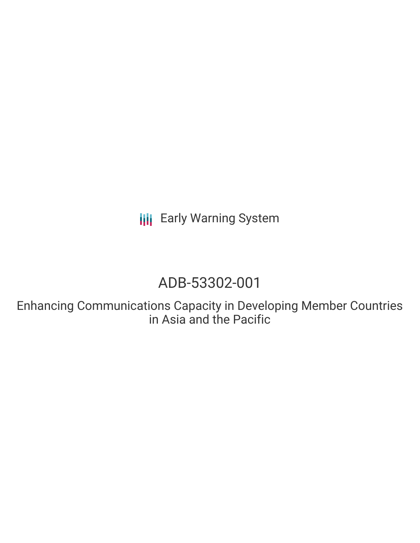**III** Early Warning System

# ADB-53302-001

Enhancing Communications Capacity in Developing Member Countries in Asia and the Pacific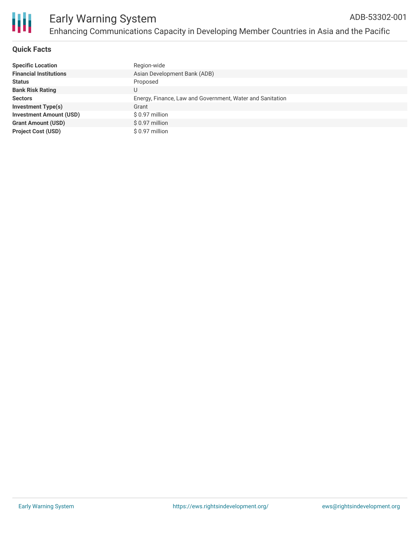

## **Quick Facts**

| <b>Specific Location</b>       | Region-wide                                               |
|--------------------------------|-----------------------------------------------------------|
| <b>Financial Institutions</b>  | Asian Development Bank (ADB)                              |
| <b>Status</b>                  | Proposed                                                  |
| <b>Bank Risk Rating</b>        |                                                           |
| <b>Sectors</b>                 | Energy, Finance, Law and Government, Water and Sanitation |
| <b>Investment Type(s)</b>      | Grant                                                     |
| <b>Investment Amount (USD)</b> | $$0.97$ million                                           |
| <b>Grant Amount (USD)</b>      | $$0.97$ million                                           |
| <b>Project Cost (USD)</b>      | \$ 0.97 million                                           |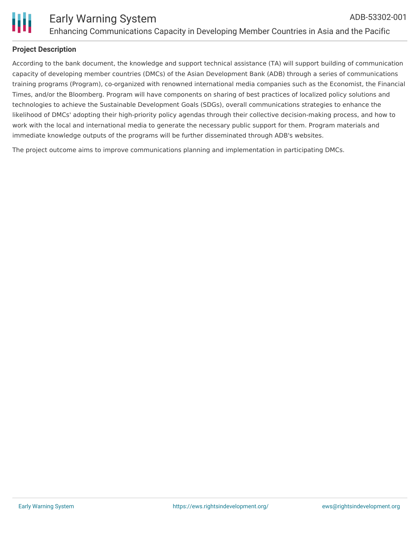

### **Project Description**

According to the bank document, the knowledge and support technical assistance (TA) will support building of communication capacity of developing member countries (DMCs) of the Asian Development Bank (ADB) through a series of communications training programs (Program), co-organized with renowned international media companies such as the Economist, the Financial Times, and/or the Bloomberg. Program will have components on sharing of best practices of localized policy solutions and technologies to achieve the Sustainable Development Goals (SDGs), overall communications strategies to enhance the likelihood of DMCs' adopting their high-priority policy agendas through their collective decision-making process, and how to work with the local and international media to generate the necessary public support for them. Program materials and immediate knowledge outputs of the programs will be further disseminated through ADB's websites.

The project outcome aims to improve communications planning and implementation in participating DMCs.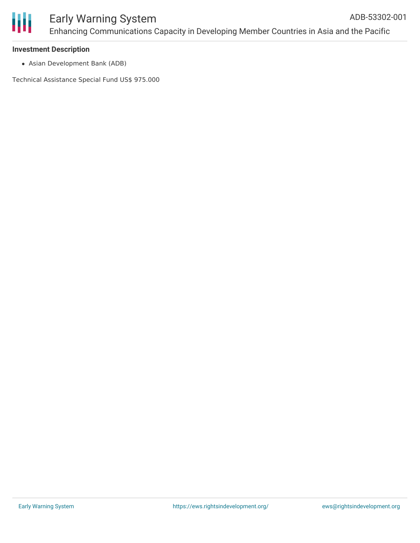#### **Investment Description**

Asian Development Bank (ADB)

Technical Assistance Special Fund US\$ 975.000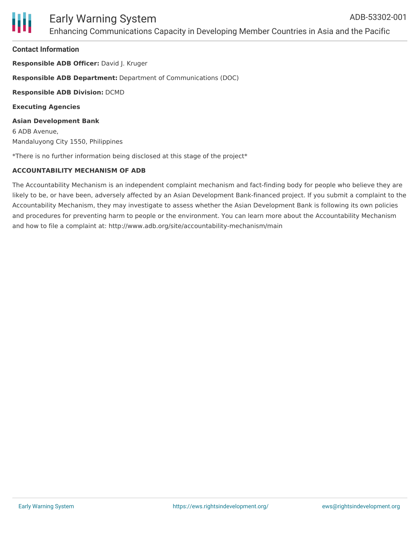#### **Contact Information**

**Responsible ADB Officer:** David J. Kruger **Responsible ADB Department:** Department of Communications (DOC)

**Responsible ADB Division:** DCMD

**Executing Agencies**

**Asian Development Bank** 6 ADB Avenue, Mandaluyong City 1550, Philippines

\*There is no further information being disclosed at this stage of the project\*

## **ACCOUNTABILITY MECHANISM OF ADB**

The Accountability Mechanism is an independent complaint mechanism and fact-finding body for people who believe they are likely to be, or have been, adversely affected by an Asian Development Bank-financed project. If you submit a complaint to the Accountability Mechanism, they may investigate to assess whether the Asian Development Bank is following its own policies and procedures for preventing harm to people or the environment. You can learn more about the Accountability Mechanism and how to file a complaint at: http://www.adb.org/site/accountability-mechanism/main